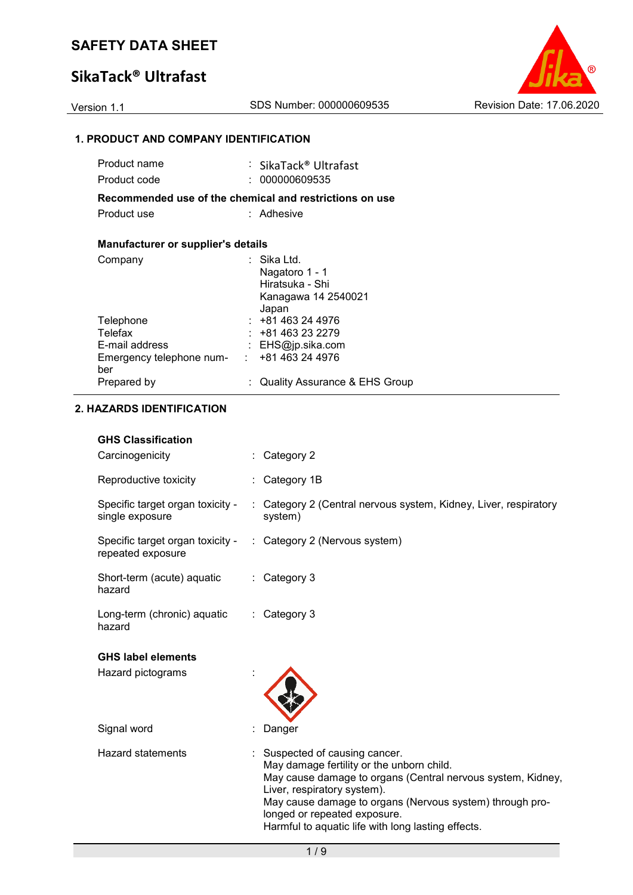# **SikaTack® Ultrafast**



### **1. PRODUCT AND COMPANY IDENTIFICATION**

| Product name                               | : SikaTack® Ultrafast                                   |
|--------------------------------------------|---------------------------------------------------------|
| Product code                               | 000000609535                                            |
|                                            | Recommended use of the chemical and restrictions on use |
| Product use                                | : Adhesive                                              |
|                                            |                                                         |
| <b>Manufacturer or supplier's details</b>  |                                                         |
| Company                                    | ∶ Sika Ltd.                                             |
|                                            | Nagatoro 1 - 1                                          |
|                                            | Hiratsuka - Shi                                         |
|                                            | Kanagawa 14 2540021                                     |
| Telephone                                  | Japan<br>: 481463244976                                 |
| Telefax                                    | $: +81463232279$                                        |
| E-mail address                             | : $EHS@ip.sika.com$                                     |
| Emergency telephone num- : +81 463 24 4976 |                                                         |
| ber                                        |                                                         |
| Prepared by                                | : Quality Assurance & EHS Group                         |
|                                            |                                                         |

### **2. HAZARDS IDENTIFICATION**

### **GHS Classification**

| Carcinogenicity                                                                     | : Category 2                                                                |
|-------------------------------------------------------------------------------------|-----------------------------------------------------------------------------|
| Reproductive toxicity                                                               | Category 1B                                                                 |
| Specific target organ toxicity -<br>single exposure                                 | : Category 2 (Central nervous system, Kidney, Liver, respiratory<br>system) |
| Specific target organ toxicity - : Category 2 (Nervous system)<br>repeated exposure |                                                                             |
| Short-term (acute) aquatic<br>hazard                                                | : Category 3                                                                |
| Long-term (chronic) aquatic<br>hazard                                               | : Category 3                                                                |
| <b>GHS label elements</b>                                                           |                                                                             |
| Hazard pictograms                                                                   |                                                                             |
|                                                                                     |                                                                             |
| Signal word                                                                         | Danger                                                                      |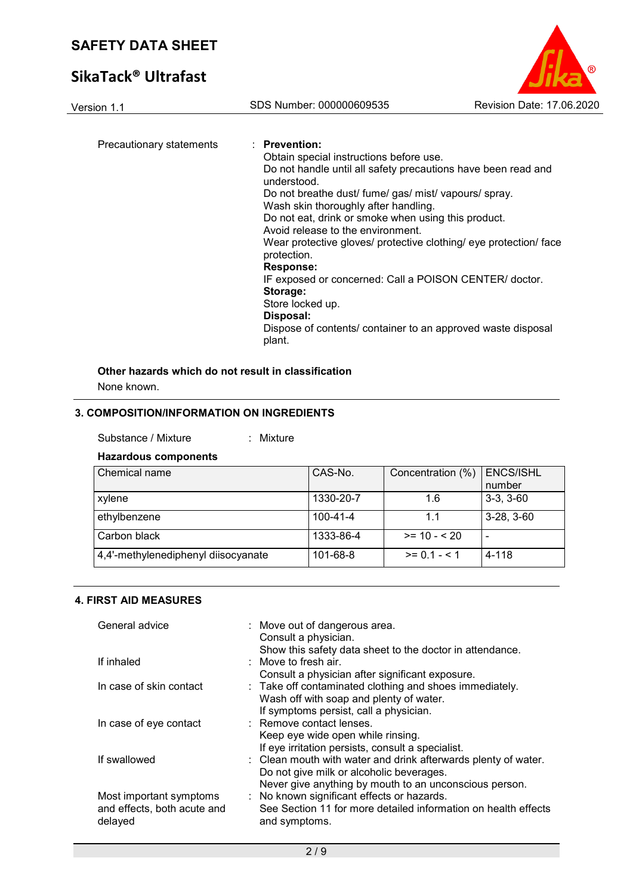# **SikaTack® Ultrafast**



| Precautionary statements | : Prevention:                                                                    |
|--------------------------|----------------------------------------------------------------------------------|
|                          | Obtain special instructions before use.                                          |
|                          | Do not handle until all safety precautions have been read and<br>understood.     |
|                          | Do not breathe dust/ fume/ gas/ mist/ vapours/ spray.                            |
|                          | Wash skin thoroughly after handling.                                             |
|                          | Do not eat, drink or smoke when using this product.                              |
|                          | Avoid release to the environment.                                                |
|                          | Wear protective gloves/ protective clothing/ eye protection/ face<br>protection. |
|                          | Response:                                                                        |
|                          | IF exposed or concerned: Call a POISON CENTER/ doctor.<br>Storage:               |
|                          | Store locked up.                                                                 |
|                          | Disposal:                                                                        |
|                          | Dispose of contents/ container to an approved waste disposal<br>plant.           |

### **Other hazards which do not result in classification**

None known.

### **3. COMPOSITION/INFORMATION ON INGREDIENTS**

| Substance / Mixture |  | Mixture |
|---------------------|--|---------|
|---------------------|--|---------|

### **Hazardous components**

| Chemical name                       | CAS-No.   | Concentration (%) | <b>ENCS/ISHL</b><br>number |
|-------------------------------------|-----------|-------------------|----------------------------|
| xylene                              | 1330-20-7 | 1.6               | $3-3, 3-60$                |
| ethylbenzene                        | 100-41-4  | 1.1               | $3-28, 3-60$               |
| Carbon black                        | 1333-86-4 | $>= 10 - 520$     | ٠                          |
| 4,4'-methylenediphenyl diisocyanate | 101-68-8  | $>= 0.1 - 5.1$    | 4-118                      |

### **4. FIRST AID MEASURES**

| General advice                                                    | : Move out of dangerous area.<br>Consult a physician.<br>Show this safety data sheet to the doctor in attendance.                                                    |
|-------------------------------------------------------------------|----------------------------------------------------------------------------------------------------------------------------------------------------------------------|
| If inhaled                                                        | $\therefore$ Move to fresh air.<br>Consult a physician after significant exposure.                                                                                   |
| In case of skin contact                                           | : Take off contaminated clothing and shoes immediately.<br>Wash off with soap and plenty of water.<br>If symptoms persist, call a physician.                         |
| In case of eye contact                                            | : Remove contact lenses.<br>Keep eye wide open while rinsing.<br>If eye irritation persists, consult a specialist.                                                   |
| If swallowed                                                      | : Clean mouth with water and drink afterwards plenty of water.<br>Do not give milk or alcoholic beverages.<br>Never give anything by mouth to an unconscious person. |
| Most important symptoms<br>and effects, both acute and<br>delayed | : No known significant effects or hazards.<br>See Section 11 for more detailed information on health effects<br>and symptoms.                                        |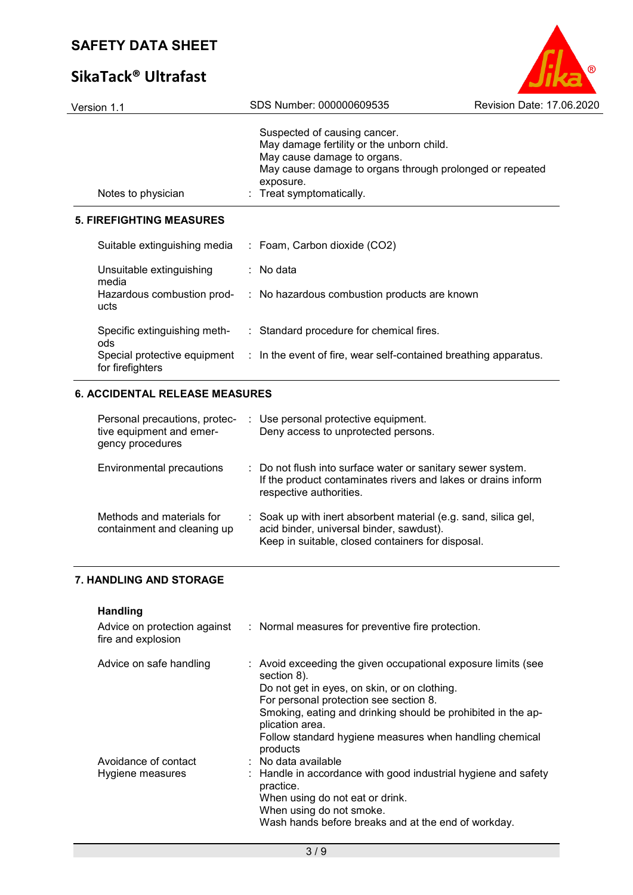# **SikaTack® Ultrafast**



| Notes to physician                  | Suspected of causing cancer.<br>May damage fertility or the unborn child.<br>May cause damage to organs.<br>May cause damage to organs through prolonged or repeated<br>exposure.<br>: Treat symptomatically. |
|-------------------------------------|---------------------------------------------------------------------------------------------------------------------------------------------------------------------------------------------------------------|
| <b>5. FIREFIGHTING MEASURES</b>     |                                                                                                                                                                                                               |
| Suitable extinguishing media        | $:$ Foam, Carbon dioxide (CO2)                                                                                                                                                                                |
| Unsuitable extinguishing<br>media   | : No data                                                                                                                                                                                                     |
| ucts                                | Hazardous combustion prod- : No hazardous combustion products are known                                                                                                                                       |
| Specific extinguishing meth-<br>ods | : Standard procedure for chemical fires.                                                                                                                                                                      |
| for firefighters                    | Special protective equipment : In the event of fire, wear self-contained breathing apparatus.                                                                                                                 |

### **6. ACCIDENTAL RELEASE MEASURES**

| Personal precautions, protec-<br>tive equipment and emer-<br>gency procedures | : Use personal protective equipment.<br>Deny access to unprotected persons.                                                                                      |
|-------------------------------------------------------------------------------|------------------------------------------------------------------------------------------------------------------------------------------------------------------|
| <b>Environmental precautions</b>                                              | : Do not flush into surface water or sanitary sewer system.<br>If the product contaminates rivers and lakes or drains inform<br>respective authorities.          |
| Methods and materials for<br>containment and cleaning up                      | : Soak up with inert absorbent material (e.g. sand, silica gel,<br>acid binder, universal binder, sawdust).<br>Keep in suitable, closed containers for disposal. |

### **7. HANDLING AND STORAGE**

**Handling**

| fire and explosion                       | Advice on protection against : Normal measures for preventive fire protection.                                                                                                                                                                                                                                                   |
|------------------------------------------|----------------------------------------------------------------------------------------------------------------------------------------------------------------------------------------------------------------------------------------------------------------------------------------------------------------------------------|
| Advice on safe handling                  | : Avoid exceeding the given occupational exposure limits (see<br>section 8).<br>Do not get in eyes, on skin, or on clothing.<br>For personal protection see section 8.<br>Smoking, eating and drinking should be prohibited in the ap-<br>plication area.<br>Follow standard hygiene measures when handling chemical<br>products |
| Avoidance of contact<br>Hygiene measures | : No data available<br>: Handle in accordance with good industrial hygiene and safety<br>practice.<br>When using do not eat or drink.<br>When using do not smoke.<br>Wash hands before breaks and at the end of workday.                                                                                                         |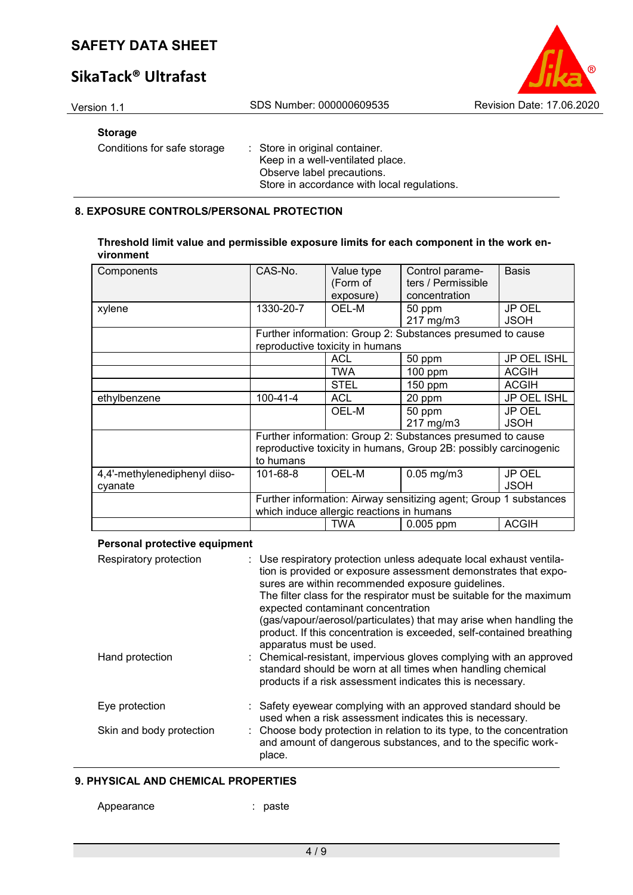# **SikaTack® Ultrafast**

### **Storage**

Conditions for safe storage : Store in original container.

Keep in a well-ventilated place. Observe label precautions. Store in accordance with local regulations.

### **8. EXPOSURE CONTROLS/PERSONAL PROTECTION**

| Threshold limit value and permissible exposure limits for each component in the work en- |  |
|------------------------------------------------------------------------------------------|--|
| vironment                                                                                |  |

| Components                    | CAS-No.   | Value type<br>(Form of<br>exposure)       | Control parame-<br>ters / Permissible<br>concentration            | <b>Basis</b>  |
|-------------------------------|-----------|-------------------------------------------|-------------------------------------------------------------------|---------------|
|                               |           |                                           |                                                                   |               |
| xylene                        | 1330-20-7 | OEL-M                                     | 50 ppm                                                            | <b>JP OEL</b> |
|                               |           |                                           | 217 mg/m3                                                         | <b>JSOH</b>   |
|                               |           |                                           | Further information: Group 2: Substances presumed to cause        |               |
|                               |           | reproductive toxicity in humans           |                                                                   |               |
|                               |           | <b>ACL</b>                                | 50 ppm                                                            | JP OEL ISHL   |
|                               |           | <b>TWA</b>                                | $100$ ppm                                                         | <b>ACGIH</b>  |
|                               |           | <b>STEL</b>                               | 150 ppm                                                           | <b>ACGIH</b>  |
| ethylbenzene                  | 100-41-4  | <b>ACL</b>                                | 20 ppm                                                            | JP OEL ISHL   |
|                               |           | OEL-M                                     | 50 ppm                                                            | <b>JP OEL</b> |
|                               |           |                                           | 217 mg/m3                                                         | <b>JSOH</b>   |
|                               |           |                                           | Further information: Group 2: Substances presumed to cause        |               |
|                               |           |                                           | reproductive toxicity in humans, Group 2B: possibly carcinogenic  |               |
|                               | to humans |                                           |                                                                   |               |
| 4,4'-methylenediphenyl diiso- | 101-68-8  | OEL-M                                     | $0.05$ mg/m $3$                                                   | <b>JP OEL</b> |
| cyanate                       |           |                                           |                                                                   | <b>JSOH</b>   |
|                               |           |                                           | Further information: Airway sensitizing agent; Group 1 substances |               |
|                               |           | which induce allergic reactions in humans |                                                                   |               |
|                               |           | <b>TWA</b>                                | 0.005 ppm                                                         | <b>ACGIH</b>  |

#### **Personal protective equipment**

| Respiratory protection   | : Use respiratory protection unless adequate local exhaust ventila-<br>tion is provided or exposure assessment demonstrates that expo-<br>sures are within recommended exposure guidelines.<br>The filter class for the respirator must be suitable for the maximum<br>expected contaminant concentration<br>(gas/vapour/aerosol/particulates) that may arise when handling the<br>product. If this concentration is exceeded, self-contained breathing<br>apparatus must be used. |
|--------------------------|------------------------------------------------------------------------------------------------------------------------------------------------------------------------------------------------------------------------------------------------------------------------------------------------------------------------------------------------------------------------------------------------------------------------------------------------------------------------------------|
| Hand protection          | : Chemical-resistant, impervious gloves complying with an approved<br>standard should be worn at all times when handling chemical<br>products if a risk assessment indicates this is necessary.                                                                                                                                                                                                                                                                                    |
| Eye protection           | : Safety eyewear complying with an approved standard should be<br>used when a risk assessment indicates this is necessary.                                                                                                                                                                                                                                                                                                                                                         |
| Skin and body protection | : Choose body protection in relation to its type, to the concentration<br>and amount of dangerous substances, and to the specific work-<br>place.                                                                                                                                                                                                                                                                                                                                  |

#### **9. PHYSICAL AND CHEMICAL PROPERTIES**

Appearance : paste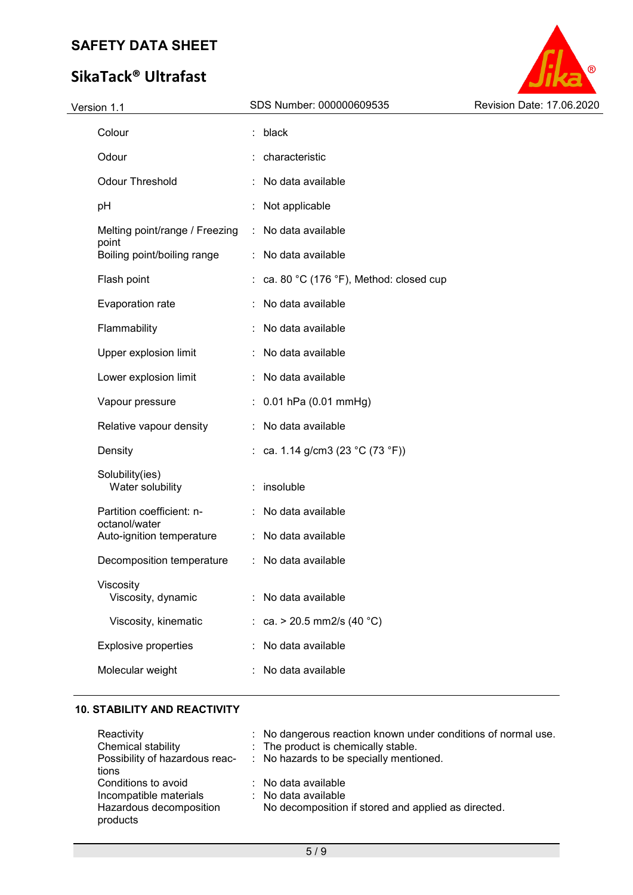# **SikaTack® Ultrafast**



| Version 1.1 |                                            |   | SDS Number: 000000609535                                     | Revision Date: 17.06.2020 |  |
|-------------|--------------------------------------------|---|--------------------------------------------------------------|---------------------------|--|
|             | Colour                                     |   | : black                                                      |                           |  |
|             | Odour                                      |   | : characteristic                                             |                           |  |
|             | <b>Odour Threshold</b>                     |   | No data available                                            |                           |  |
|             | pH                                         |   | Not applicable                                               |                           |  |
|             | Melting point/range / Freezing             | ÷ | No data available                                            |                           |  |
|             | point<br>Boiling point/boiling range       |   | : No data available                                          |                           |  |
|             | Flash point                                |   | : ca. 80 $^{\circ}$ C (176 $^{\circ}$ F), Method: closed cup |                           |  |
|             | Evaporation rate                           |   | No data available                                            |                           |  |
|             | Flammability                               |   | No data available                                            |                           |  |
|             | Upper explosion limit                      |   | No data available                                            |                           |  |
|             | Lower explosion limit                      |   | No data available                                            |                           |  |
|             | Vapour pressure                            |   | $: 0.01$ hPa (0.01 mmHg)                                     |                           |  |
|             | Relative vapour density                    |   | No data available                                            |                           |  |
|             | Density                                    |   | : ca. 1.14 g/cm3 (23 °C (73 °F))                             |                           |  |
|             | Solubility(ies)<br>Water solubility        |   | : insoluble                                                  |                           |  |
|             | Partition coefficient: n-<br>octanol/water |   | No data available                                            |                           |  |
|             | Auto-ignition temperature                  |   | No data available                                            |                           |  |
|             | Decomposition temperature                  |   | No data available                                            |                           |  |
|             | Viscosity<br>Viscosity, dynamic            |   | No data available                                            |                           |  |
|             | Viscosity, kinematic                       |   | : ca. > 20.5 mm2/s (40 °C)                                   |                           |  |
|             | <b>Explosive properties</b>                |   | No data available                                            |                           |  |
|             | Molecular weight                           |   | No data available                                            |                           |  |

### **10. STABILITY AND REACTIVITY**

| Reactivity<br>Chemical stability    | : No dangerous reaction known under conditions of normal use.<br>: The product is chemically stable. |
|-------------------------------------|------------------------------------------------------------------------------------------------------|
| Possibility of hazardous reac-      | : No hazards to be specially mentioned.                                                              |
| tions                               |                                                                                                      |
| Conditions to avoid                 | $\therefore$ No data available                                                                       |
| Incompatible materials              | $\therefore$ No data available                                                                       |
| Hazardous decomposition<br>products | No decomposition if stored and applied as directed.                                                  |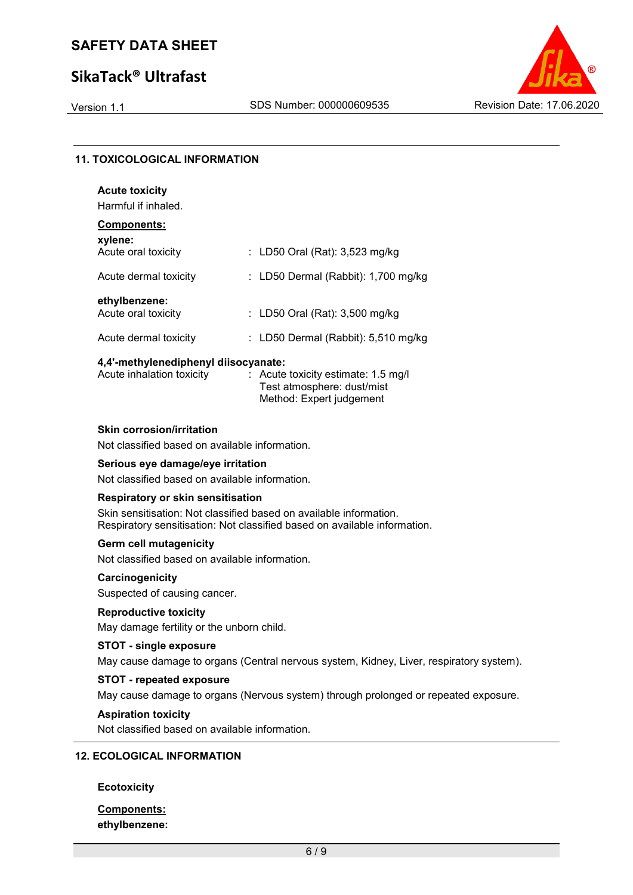# **SikaTack® Ultrafast**



### **11. TOXICOLOGICAL INFORMATION**

| <b>Acute toxicity</b><br>Harmful if inhaled. |                                     |
|----------------------------------------------|-------------------------------------|
| Components:<br>xylene:                       |                                     |
| Acute oral toxicity                          | : LD50 Oral (Rat): $3,523$ mg/kg    |
| Acute dermal toxicity                        | : LD50 Dermal (Rabbit): 1,700 mg/kg |
| ethylbenzene:<br>Acute oral toxicity         | : LD50 Oral (Rat): 3,500 mg/kg      |
| Acute dermal toxicity                        | LD50 Dermal (Rabbit): 5,510 mg/kg   |

#### **4,4'-methylenediphenyl diisocyanate:**

| Acute inhalation toxicity | $\therefore$ Acute toxicity estimate: 1.5 mg/l |
|---------------------------|------------------------------------------------|
|                           | Test atmosphere: dust/mist                     |
|                           | Method: Expert judgement                       |

#### **Skin corrosion/irritation**

Not classified based on available information.

### **Serious eye damage/eye irritation**

Not classified based on available information.

#### **Respiratory or skin sensitisation**

Skin sensitisation: Not classified based on available information. Respiratory sensitisation: Not classified based on available information.

#### **Germ cell mutagenicity**

Not classified based on available information.

#### **Carcinogenicity**

Suspected of causing cancer.

### **Reproductive toxicity**

May damage fertility or the unborn child.

#### **STOT - single exposure**

May cause damage to organs (Central nervous system, Kidney, Liver, respiratory system).

### **STOT - repeated exposure**

May cause damage to organs (Nervous system) through prolonged or repeated exposure.

#### **Aspiration toxicity**

Not classified based on available information.

#### **12. ECOLOGICAL INFORMATION**

#### **Ecotoxicity**

### **Components: ethylbenzene:**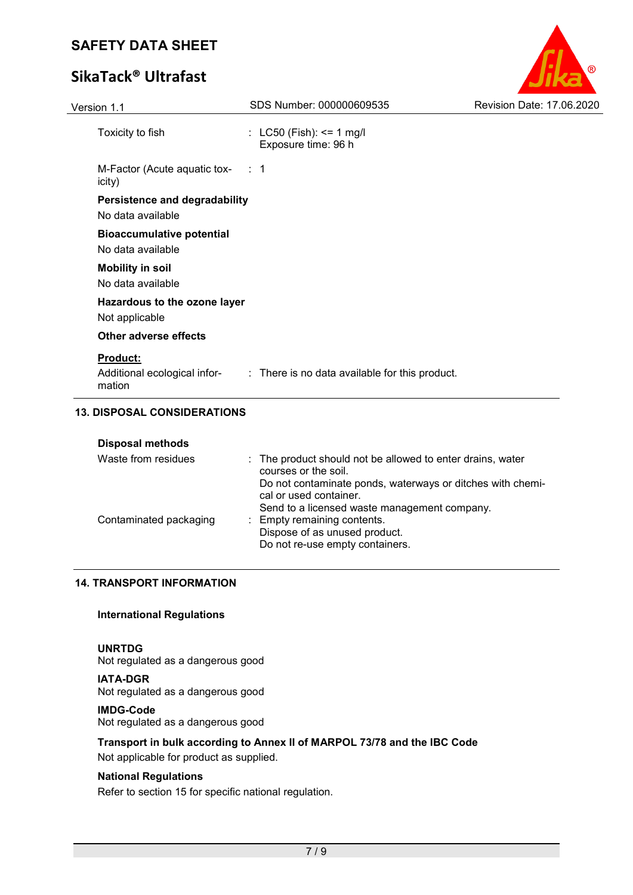# **SikaTack® Ultrafast**

| Version 1.1                                               | SDS Number: 000000609535                        | Revision Date: 17,06,2020 |
|-----------------------------------------------------------|-------------------------------------------------|---------------------------|
| Toxicity to fish                                          | : LC50 (Fish): <= 1 mg/l<br>Exposure time: 96 h |                           |
| M-Factor (Acute aquatic tox- : 1<br>icity)                |                                                 |                           |
| <b>Persistence and degradability</b><br>No data available |                                                 |                           |
| <b>Bioaccumulative potential</b><br>No data available     |                                                 |                           |
| <b>Mobility in soil</b><br>No data available              |                                                 |                           |
| Hazardous to the ozone layer<br>Not applicable            |                                                 |                           |
| <b>Other adverse effects</b>                              |                                                 |                           |
| <b>Product:</b><br>Additional ecological infor-<br>mation | : There is no data available for this product.  |                           |

 $^{\circledR}$ 

# **13. DISPOSAL CONSIDERATIONS**

| <b>Disposal methods</b> |                                                                                                                                      |
|-------------------------|--------------------------------------------------------------------------------------------------------------------------------------|
| Waste from residues     | : The product should not be allowed to enter drains, water<br>courses or the soil.                                                   |
|                         | Do not contaminate ponds, waterways or ditches with chemi-<br>cal or used container.<br>Send to a licensed waste management company. |
| Contaminated packaging  | : Empty remaining contents.<br>Dispose of as unused product.<br>Do not re-use empty containers.                                      |

### **14. TRANSPORT INFORMATION**

#### **International Regulations**

### **UNRTDG**

Not regulated as a dangerous good

**IATA-DGR** Not regulated as a dangerous good

#### **IMDG-Code**

Not regulated as a dangerous good

### **Transport in bulk according to Annex II of MARPOL 73/78 and the IBC Code**

Not applicable for product as supplied.

### **National Regulations**

Refer to section 15 for specific national regulation.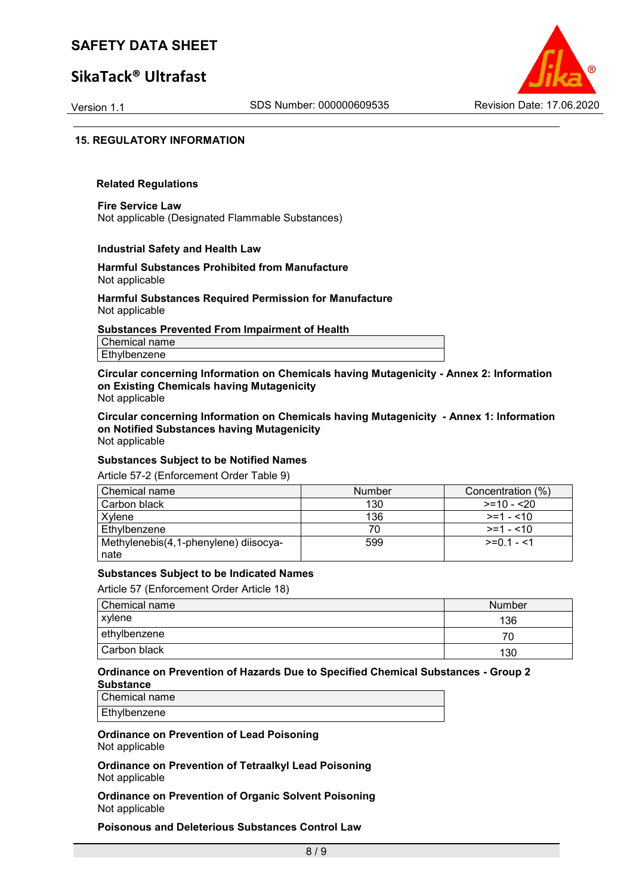# **SikaTack® Ultrafast**



#### **15. REGULATORY INFORMATION**

#### **Related Regulations**

**Fire Service Law** Not applicable (Designated Flammable Substances)

#### **Industrial Safety and Health Law**

#### **Harmful Substances Prohibited from Manufacture** Not applicable

#### **Harmful Substances Required Permission for Manufacture** Not applicable

#### **Substances Prevented From Impairment of Health**

Chemical name Ethylbenzene

**Circular concerning Information on Chemicals having Mutagenicity - Annex 2: Information on Existing Chemicals having Mutagenicity** Not applicable

**Circular concerning Information on Chemicals having Mutagenicity - Annex 1: Information on Notified Substances having Mutagenicity** Not applicable

### **Substances Subject to be Notified Names**

Article 57-2 (Enforcement Order Table 9)

| Chemical name                         | <b>Number</b> | Concentration (%) |
|---------------------------------------|---------------|-------------------|
| Carbon black                          | 130           | $>=10 - 20$       |
| Xvlene                                | 136           | $>=1 - 10$        |
| Ethylbenzene                          |               | $>=1 - 10$        |
| Methylenebis(4,1-phenylene) diisocya- | 599           | $>=0.1 - 1$       |
| nate                                  |               |                   |

#### **Substances Subject to be Indicated Names**

Article 57 (Enforcement Order Article 18)

| Chemical name | Number |
|---------------|--------|
| xylene        | 136    |
| ethylbenzene  |        |
| Carbon black  | 130    |

#### **Ordinance on Prevention of Hazards Due to Specified Chemical Substances - Group 2 Substance**

Chemical name Ethylbenzene

**Ordinance on Prevention of Lead Poisoning** Not applicable

**Ordinance on Prevention of Tetraalkyl Lead Poisoning** Not applicable

**Ordinance on Prevention of Organic Solvent Poisoning** Not applicable

**Poisonous and Deleterious Substances Control Law**